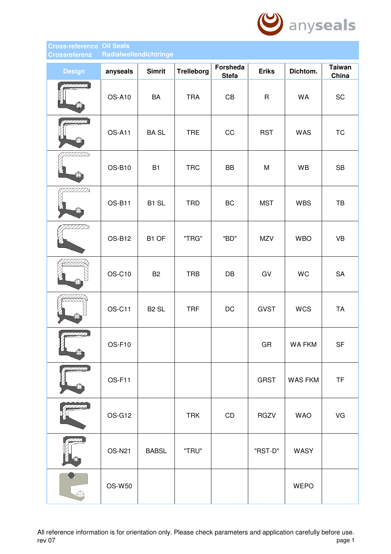

## **Cross-reference Oil Seals Crossreferenz Radialwellendichtringe**

| <b>Design</b> | anyseals      | <b>Simrit</b>     | <b>Trelleborg</b> | <b>Forsheda</b><br><b>Stefa</b> | <b>Eriks</b> | Dichtom.      | <b>Taiwan</b><br>China |
|---------------|---------------|-------------------|-------------------|---------------------------------|--------------|---------------|------------------------|
| 7777777<br>₩  | <b>OS-A10</b> | BA                | <b>TRA</b>        | CB                              | $\mathsf{R}$ | WA            | SC                     |
| //////        | <b>OS-A11</b> | <b>BASL</b>       | <b>TRE</b>        | CC                              | <b>RST</b>   | <b>WAS</b>    | <b>TC</b>              |
| 7777 Z        | OS-B10        | <b>B1</b>         | <b>TRC</b>        | <b>BB</b>                       | M            | WB            | <b>SB</b>              |
| 2/1/2         | OS-B11        | B1 SL             | <b>TRD</b>        | BC                              | <b>MST</b>   | <b>WBS</b>    | TB                     |
| 7777 M        | OS-B12        | B1 OF             | "TRG"             | "BD"                            | <b>MZV</b>   | <b>WBO</b>    | <b>VB</b>              |
|               | OS-C10        | <b>B2</b>         | <b>TRB</b>        | $\mathsf{D}\mathsf{B}$          | GV           | WC            | SA                     |
| €Đ            | OS-C11        | B <sub>2</sub> SL | <b>TRF</b>        | DC                              | <b>GVST</b>  | <b>WCS</b>    | <b>TA</b>              |
|               | OS-F10        |                   |                   |                                 | GR           | <b>WA FKM</b> | <b>SF</b>              |
|               | OS-F11        |                   |                   |                                 | <b>GRST</b>  | WAS FKM       | <b>TF</b>              |
|               | <b>OS-G12</b> |                   | <b>TRK</b>        | CD                              | <b>RGZV</b>  | <b>WAO</b>    | VG                     |
|               | <b>OS-N21</b> | <b>BABSL</b>      | "TRU"             |                                 | "RST-D"      | WASY          |                        |
|               | OS-W50        |                   |                   |                                 |              | <b>WEPO</b>   |                        |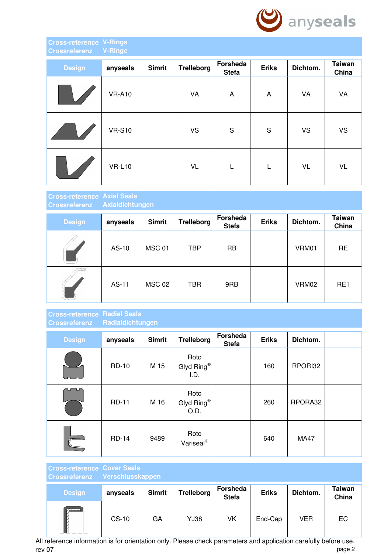

### **Cross-reference V-Rings Crossreferenz V-Ringe**

| <b>Design</b> | anyseals      | <b>Simrit</b> | <b>Trelleborg</b> | Forsheda<br><b>Stefa</b> | <b>Eriks</b> | Dichtom.  | <b>Taiwan</b><br>China |
|---------------|---------------|---------------|-------------------|--------------------------|--------------|-----------|------------------------|
|               | <b>VR-A10</b> |               | VA                | A                        | A            | VA        | VA                     |
|               | <b>VR-S10</b> |               | <b>VS</b>         | ${\mathsf S}$            | S            | <b>VS</b> | <b>VS</b>              |
|               | <b>VR-L10</b> |               | <b>VL</b>         | L                        | L            | VL        | <b>VL</b>              |

#### **Cross-reference Axial Seals Crossreferenz Axialdichtungen**

| <b>Design</b> | anyseals | <b>Simrit</b> | <b>Trelleborg</b> | Forsheda<br><b>Stefa</b> | <b>Eriks</b> | Dichtom. | <b>Taiwan</b><br>China |
|---------------|----------|---------------|-------------------|--------------------------|--------------|----------|------------------------|
|               | AS-10    | <b>MSC 01</b> | <b>TBP</b>        | <b>RB</b>                |              | VRM01    | <b>RE</b>              |
|               | AS-11    | <b>MSC 02</b> | <b>TBR</b>        | 9RB                      |              | VRM02    | RE <sub>1</sub>        |

## **Cross-reference Radial Seals Crossreferenz Radialdichtungen**

| <b>Design</b> | anyseals     | <b>Simrit</b> | <b>Trelleborg</b>             | Forsheda<br><b>Stefa</b> | <b>Eriks</b> | Dichtom.    |  |
|---------------|--------------|---------------|-------------------------------|--------------------------|--------------|-------------|--|
|               | <b>RD-10</b> | M 15          | Roto<br>Glyd Ring®<br>I.D.    |                          | 160          | RPORI32     |  |
|               | <b>RD-11</b> | M 16          | Roto<br>Glyd Ring®<br>O.D.    |                          | 260          | RPORA32     |  |
|               | <b>RD-14</b> | 9489          | Roto<br>Variseal <sup>®</sup> |                          | 640          | <b>MA47</b> |  |

| <b>Cross-reference Cover Seals</b><br><b>Crossreferenz</b> | Verschlusskappen |               |                   |                          |              |          |                 |
|------------------------------------------------------------|------------------|---------------|-------------------|--------------------------|--------------|----------|-----------------|
| <b>Design</b>                                              | anyseals         | <b>Simrit</b> | <b>Trelleborg</b> | Forsheda<br><b>Stefa</b> | <b>Eriks</b> | Dichtom. | Taiwan<br>China |
|                                                            | $CS-10$          | GA            | YJ38              | VK                       | End-Cap      | VER      | EC              |

All reference information is for orientation only. Please check parameters and application carefully before use. rev 07 page 2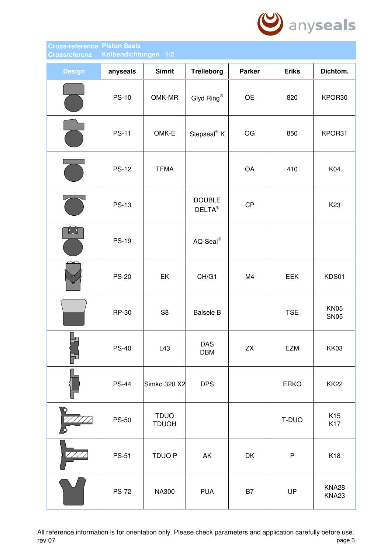

# **Cross-reference Piston Seals Crossreferenz Kolbendichtungen 1/2**

| <b>Design</b>     | anyseals     | <b>Simrit</b>               | <b>Trelleborg</b>                    | <b>Parker</b> | <b>Eriks</b> | Dichtom.                   |
|-------------------|--------------|-----------------------------|--------------------------------------|---------------|--------------|----------------------------|
|                   | <b>PS-10</b> | OMK-MR                      | Glyd Ring®                           | OE            | 820          | KPOR30                     |
|                   | <b>PS-11</b> | OMK-E                       | Stepseal <sup>®</sup> K              | OG            | 850          | KPOR31                     |
|                   | <b>PS-12</b> | <b>TFMA</b>                 |                                      | OA            | 410          | K04                        |
|                   | <b>PS-13</b> |                             | <b>DOUBLE</b><br>$DELTA^{\circledR}$ | CP            |              | K <sub>23</sub>            |
| $L_{\mathcal{S}}$ | <b>PS-19</b> |                             | $AQ-Seal^@$                          |               |              |                            |
|                   | <b>PS-20</b> | EK                          | CH/G1                                | M4            | <b>EEK</b>   | KDS01                      |
|                   | RP-30        | S <sub>8</sub>              | <b>Balsele B</b>                     |               | <b>TSE</b>   | <b>KN05</b><br><b>SN05</b> |
| F                 | <b>PS-40</b> | L43                         | DAS<br><b>DBM</b>                    | ${\sf ZX}$    | EZM          | <b>KK03</b>                |
|                   | <b>PS-44</b> | Simko 320 X2                | <b>DPS</b>                           |               | <b>ERKO</b>  | <b>KK22</b>                |
|                   | <b>PS-50</b> | <b>TDUO</b><br><b>TDUOH</b> |                                      |               | T-DUO        | K <sub>15</sub><br>K17     |
|                   | <b>PS-51</b> | TDUO P                      | AK                                   | DK            | ${\sf P}$    | K18                        |
|                   | <b>PS-72</b> | <b>NA300</b>                | <b>PUA</b>                           | B7            | UP           | <b>KNA28</b><br>KNA23      |

All reference information is for orientation only. Please check parameters and application carefully before use.<br>page 3 rev 07 page 3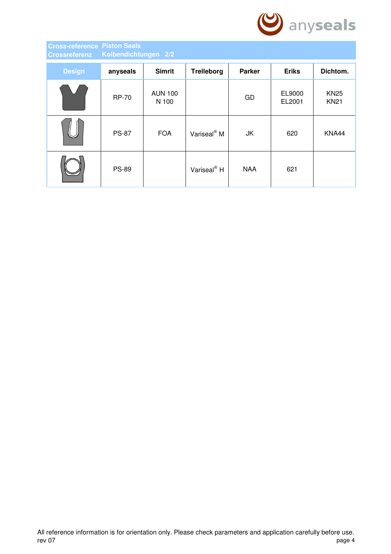

# **Cross-reference Piston Seals Crossreferenz Kolbendichtungen 2/2**

| <b>Design</b> | anyseals     | <b>Simrit</b>           | <b>Trelleborg</b>       | <b>Parker</b> | <b>Eriks</b>     | Dichtom.                   |
|---------------|--------------|-------------------------|-------------------------|---------------|------------------|----------------------------|
|               | <b>RP-70</b> | <b>AUN 100</b><br>N 100 |                         | GD            | EL9000<br>EL2001 | <b>KN25</b><br><b>KN21</b> |
|               | <b>PS-87</b> | <b>FOA</b>              | Variseal <sup>®</sup> M | JK            | 620              | KNA44                      |
|               | <b>PS-89</b> |                         | Variseal <sup>®</sup> H | <b>NAA</b>    | 621              |                            |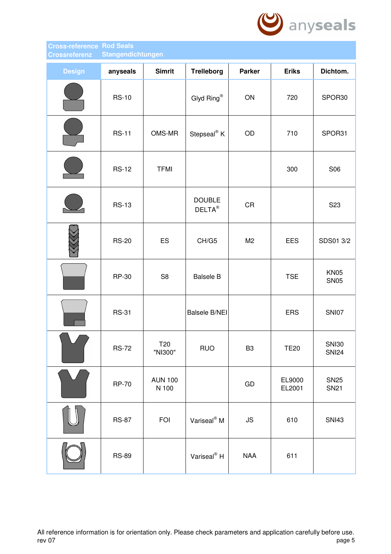

#### **Cross-reference Rod Seals Crossreferenz Stangendichtungen**

| <b>Design</b> | anyseals     | <b>Simrit</b>           | <b>Trelleborg</b>                    | <b>Parker</b>        | <b>Eriks</b>     | Dichtom.                     |
|---------------|--------------|-------------------------|--------------------------------------|----------------------|------------------|------------------------------|
|               | <b>RS-10</b> |                         | Glyd Ring®                           | ON                   | 720              | SPOR30                       |
|               | <b>RS-11</b> | OMS-MR                  | Stepseal <sup>®</sup> K              | OD                   | 710              | SPOR31                       |
|               | <b>RS-12</b> | <b>TFMI</b>             |                                      |                      | 300              | S06                          |
|               | <b>RS-13</b> |                         | <b>DOUBLE</b><br>$DELTA^{\circledR}$ | CR                   |                  | S <sub>23</sub>              |
|               | <b>RS-20</b> | ES                      | CH/G5                                | M <sub>2</sub>       | EES              | SDS01 3/2                    |
|               | RP-30        | S <sub>8</sub>          | <b>Balsele B</b>                     |                      | <b>TSE</b>       | <b>KN05</b><br><b>SN05</b>   |
|               | <b>RS-31</b> |                         | <b>Balsele B/NEI</b>                 |                      | <b>ERS</b>       | <b>SNI07</b>                 |
|               | <b>RS-72</b> | T20<br>"NI300"          | <b>RUO</b>                           | B <sub>3</sub>       | <b>TE20</b>      | <b>SNI30</b><br><b>SNI24</b> |
|               | <b>RP-70</b> | <b>AUN 100</b><br>N 100 |                                      | ${\sf GD}$           | EL9000<br>EL2001 | <b>SN25</b><br><b>SN21</b>   |
|               | <b>RS-87</b> | <b>FOI</b>              | Variseal <sup>®</sup> M              | $\mathsf{JS}\xspace$ | 610              | <b>SNI43</b>                 |
|               | <b>RS-89</b> |                         | Variseal <sup>®</sup> H              | <b>NAA</b>           | 611              |                              |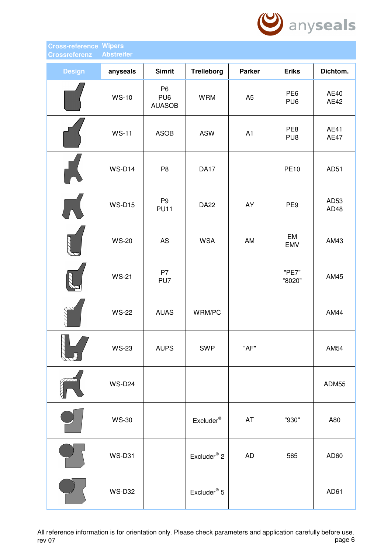

#### **Cross-reference Wipers Crossreferenz Abstreifer**

| <b>Design</b> | anyseals      | <b>Simrit</b>                                      | <b>Trelleborg</b>         | <b>Parker</b>  | <b>Eriks</b>                       | Dichtom.            |
|---------------|---------------|----------------------------------------------------|---------------------------|----------------|------------------------------------|---------------------|
|               | <b>WS-10</b>  | P <sub>6</sub><br>PU <sub>6</sub><br><b>AUASOB</b> | <b>WRM</b>                | A <sub>5</sub> | PE <sub>6</sub><br>PU <sub>6</sub> | AE40<br><b>AE42</b> |
|               | <b>WS-11</b>  | <b>ASOB</b>                                        | <b>ASW</b>                | A <sub>1</sub> | PE8<br>PU8                         | AE41<br><b>AE47</b> |
|               | <b>WS-D14</b> | P <sub>8</sub>                                     | <b>DA17</b>               |                | <b>PE10</b>                        | AD51                |
|               | <b>WS-D15</b> | P <sub>9</sub><br><b>PU11</b>                      | <b>DA22</b>               | AY             | PE9                                | AD53<br>AD48        |
|               | <b>WS-20</b>  | AS                                                 | <b>WSA</b>                | AM             | EM<br><b>EMV</b>                   | AM43                |
|               | <b>WS-21</b>  | P7<br>PU7                                          |                           |                | "PE7"<br>"8020"                    | AM45                |
|               | <b>WS-22</b>  | <b>AUAS</b>                                        | WRM/PC                    |                |                                    | AM44                |
|               | <b>WS-23</b>  | <b>AUPS</b>                                        | <b>SWP</b>                | "AF"           |                                    | AM54                |
|               | <b>WS-D24</b> |                                                    |                           |                |                                    | ADM55               |
|               | <b>WS-30</b>  |                                                    | $Excluster^{\circledast}$ | AT             | "930"                              | A80                 |
|               | <b>WS-D31</b> |                                                    | Excluder <sup>®</sup> 2   | <b>AD</b>      | 565                                | AD60                |
|               | <b>WS-D32</b> |                                                    | Excluder <sup>®</sup> 5   |                |                                    | AD61                |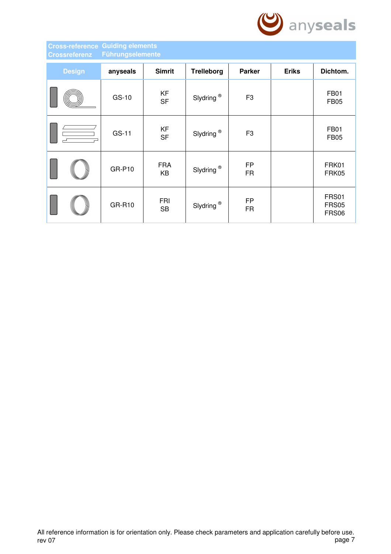

## **Cross-reference Guiding elements Crossreferenz Führungselemente**

| <b>Design</b> | anyseals      | <b>Simrit</b>           | <b>Trelleborg</b>     | <b>Parker</b>          | <b>Eriks</b> | Dichtom.                       |
|---------------|---------------|-------------------------|-----------------------|------------------------|--------------|--------------------------------|
|               | GS-10         | KF<br><b>SF</b>         | Slydring <sup>®</sup> | F <sub>3</sub>         |              | <b>FB01</b><br><b>FB05</b>     |
|               | GS-11         | KF<br><b>SF</b>         | Slydring <sup>®</sup> | F <sub>3</sub>         |              | <b>FB01</b><br><b>FB05</b>     |
|               | <b>GR-P10</b> | <b>FRA</b><br>KB        | Slydring <sup>®</sup> | <b>FP</b><br><b>FR</b> |              | FRK01<br>FRK05                 |
|               | <b>GR-R10</b> | <b>FRI</b><br><b>SB</b> | Slydring <sup>®</sup> | <b>FP</b><br><b>FR</b> |              | FRS01<br><b>FRS05</b><br>FRS06 |